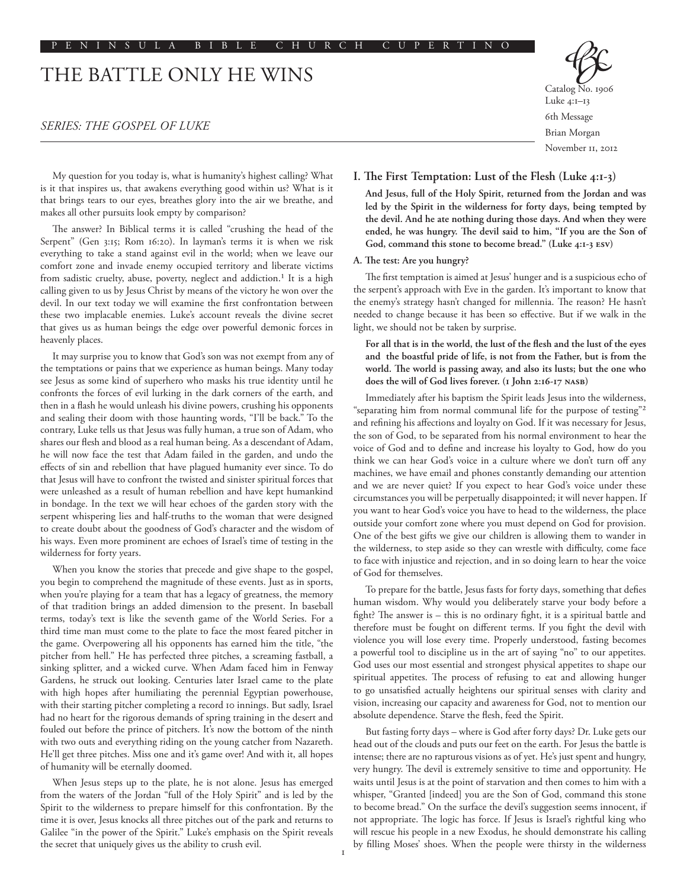# THE BATTLE ONLY HE WINS

## *SERIES: THE GOSPEL OF LUKE*



Catalog No. 1906 Luke 4:1–13 6th Message Brian Morgan November 11, 2012

My question for you today is, what is humanity's highest calling? What is it that inspires us, that awakens everything good within us? What is it that brings tears to our eyes, breathes glory into the air we breathe, and makes all other pursuits look empty by comparison?

The answer? In Biblical terms it is called "crushing the head of the Serpent" (Gen 3:15; Rom 16:20). In layman's terms it is when we risk everything to take a stand against evil in the world; when we leave our comfort zone and invade enemy occupied territory and liberate victims from sadistic cruelty, abuse, poverty, neglect and addiction.<sup>1</sup> It is a high calling given to us by Jesus Christ by means of the victory he won over the devil. In our text today we will examine the first confrontation between these two implacable enemies. Luke's account reveals the divine secret that gives us as human beings the edge over powerful demonic forces in heavenly places.

It may surprise you to know that God's son was not exempt from any of the temptations or pains that we experience as human beings. Many today see Jesus as some kind of superhero who masks his true identity until he confronts the forces of evil lurking in the dark corners of the earth, and then in a flash he would unleash his divine powers, crushing his opponents and sealing their doom with those haunting words, "I'll be back." To the contrary, Luke tells us that Jesus was fully human, a true son of Adam, who shares our flesh and blood as a real human being. As a descendant of Adam, he will now face the test that Adam failed in the garden, and undo the effects of sin and rebellion that have plagued humanity ever since. To do that Jesus will have to confront the twisted and sinister spiritual forces that were unleashed as a result of human rebellion and have kept humankind in bondage. In the text we will hear echoes of the garden story with the serpent whispering lies and half-truths to the woman that were designed to create doubt about the goodness of God's character and the wisdom of his ways. Even more prominent are echoes of Israel's time of testing in the wilderness for forty years.

When you know the stories that precede and give shape to the gospel, you begin to comprehend the magnitude of these events. Just as in sports, when you're playing for a team that has a legacy of greatness, the memory of that tradition brings an added dimension to the present. In baseball terms, today's text is like the seventh game of the World Series. For a third time man must come to the plate to face the most feared pitcher in the game. Overpowering all his opponents has earned him the title, "the pitcher from hell." He has perfected three pitches, a screaming fastball, a sinking splitter, and a wicked curve. When Adam faced him in Fenway Gardens, he struck out looking. Centuries later Israel came to the plate with high hopes after humiliating the perennial Egyptian powerhouse, with their starting pitcher completing a record 10 innings. But sadly, Israel had no heart for the rigorous demands of spring training in the desert and fouled out before the prince of pitchers. It's now the bottom of the ninth with two outs and everything riding on the young catcher from Nazareth. He'll get three pitches. Miss one and it's game over! And with it, all hopes of humanity will be eternally doomed.

When Jesus steps up to the plate, he is not alone. Jesus has emerged from the waters of the Jordan "full of the Holy Spirit" and is led by the Spirit to the wilderness to prepare himself for this confrontation. By the time it is over, Jesus knocks all three pitches out of the park and returns to Galilee "in the power of the Spirit." Luke's emphasis on the Spirit reveals the secret that uniquely gives us the ability to crush evil.

### **I. The First Temptation: Lust of the Flesh (Luke 4:1-3)**

**And Jesus, full of the Holy Spirit, returned from the Jordan and was led by the Spirit in the wilderness for forty days, being tempted by the devil. And he ate nothing during those days. And when they were ended, he was hungry. The devil said to him, "If you are the Son of God, command this stone to become bread." (Luke 4:1-3 esv)**

#### **A. The test: Are you hungry?**

The first temptation is aimed at Jesus' hunger and is a suspicious echo of the serpent's approach with Eve in the garden. It's important to know that the enemy's strategy hasn't changed for millennia. The reason? He hasn't needed to change because it has been so effective. But if we walk in the light, we should not be taken by surprise.

## **For all that is in the world, the lust of the flesh and the lust of the eyes and the boastful pride of life, is not from the Father, but is from the world. The world is passing away, and also its lusts; but the one who does the will of God lives forever. (1 John 2:16-17 nasb)**

Immediately after his baptism the Spirit leads Jesus into the wilderness, "separating him from normal communal life for the purpose of testing"2 and refining his affections and loyalty on God. If it was necessary for Jesus, the son of God, to be separated from his normal environment to hear the voice of God and to define and increase his loyalty to God, how do you think we can hear God's voice in a culture where we don't turn off any machines, we have email and phones constantly demanding our attention and we are never quiet? If you expect to hear God's voice under these circumstances you will be perpetually disappointed; it will never happen. If you want to hear God's voice you have to head to the wilderness, the place outside your comfort zone where you must depend on God for provision. One of the best gifts we give our children is allowing them to wander in the wilderness, to step aside so they can wrestle with difficulty, come face to face with injustice and rejection, and in so doing learn to hear the voice of God for themselves.

To prepare for the battle, Jesus fasts for forty days, something that defies human wisdom. Why would you deliberately starve your body before a fight? The answer is – this is no ordinary fight, it is a spiritual battle and therefore must be fought on different terms. If you fight the devil with violence you will lose every time. Properly understood, fasting becomes a powerful tool to discipline us in the art of saying "no" to our appetites. God uses our most essential and strongest physical appetites to shape our spiritual appetites. The process of refusing to eat and allowing hunger to go unsatisfied actually heightens our spiritual senses with clarity and vision, increasing our capacity and awareness for God, not to mention our absolute dependence. Starve the flesh, feed the Spirit.

But fasting forty days – where is God after forty days? Dr. Luke gets our head out of the clouds and puts our feet on the earth. For Jesus the battle is intense; there are no rapturous visions as of yet. He's just spent and hungry, very hungry. The devil is extremely sensitive to time and opportunity. He waits until Jesus is at the point of starvation and then comes to him with a whisper, "Granted [indeed] you are the Son of God, command this stone to become bread." On the surface the devil's suggestion seems innocent, if not appropriate. The logic has force. If Jesus is Israel's rightful king who will rescue his people in a new Exodus, he should demonstrate his calling by filling Moses' shoes. When the people were thirsty in the wilderness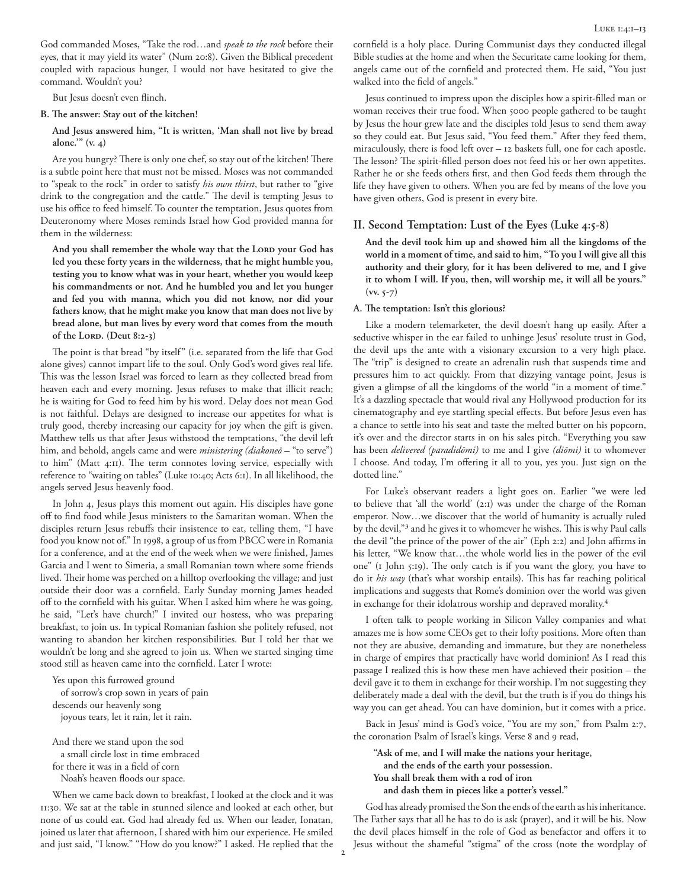But Jesus doesn't even flinch.

#### **B. The answer: Stay out of the kitchen!**

## **And Jesus answered him, "It is written, 'Man shall not live by bread alone.'" (v. 4)**

Are you hungry? There is only one chef, so stay out of the kitchen! There is a subtle point here that must not be missed. Moses was not commanded to "speak to the rock" in order to satisfy *his own thirst*, but rather to "give drink to the congregation and the cattle." The devil is tempting Jesus to use his office to feed himself. To counter the temptation, Jesus quotes from Deuteronomy where Moses reminds Israel how God provided manna for them in the wilderness:

And you shall remember the whole way that the LORD your God has **led you these forty years in the wilderness, that he might humble you, testing you to know what was in your heart, whether you would keep his commandments or not. And he humbled you and let you hunger and fed you with manna, which you did not know, nor did your fathers know, that he might make you know that man does not live by bread alone, but man lives by every word that comes from the mouth of the Lord. (Deut 8:2-3)**

The point is that bread "by itself" (i.e. separated from the life that God alone gives) cannot impart life to the soul. Only God's word gives real life. This was the lesson Israel was forced to learn as they collected bread from heaven each and every morning. Jesus refuses to make that illicit reach; he is waiting for God to feed him by his word. Delay does not mean God is not faithful. Delays are designed to increase our appetites for what is truly good, thereby increasing our capacity for joy when the gift is given. Matthew tells us that after Jesus withstood the temptations, "the devil left him, and behold, angels came and were *ministering (diakoneō* – "to serve") to him" (Matt 4:11). The term connotes loving service, especially with reference to "waiting on tables" (Luke 10:40; Acts 6:1). In all likelihood, the angels served Jesus heavenly food.

In John 4, Jesus plays this moment out again. His disciples have gone off to find food while Jesus ministers to the Samaritan woman. When the disciples return Jesus rebuffs their insistence to eat, telling them, "I have food you know not of." In 1998, a group of us from PBCC were in Romania for a conference, and at the end of the week when we were finished, James Garcia and I went to Simeria, a small Romanian town where some friends lived. Their home was perched on a hilltop overlooking the village; and just outside their door was a cornfield. Early Sunday morning James headed off to the cornfield with his guitar. When I asked him where he was going, he said, "Let's have church!" I invited our hostess, who was preparing breakfast, to join us. In typical Romanian fashion she politely refused, not wanting to abandon her kitchen responsibilities. But I told her that we wouldn't be long and she agreed to join us. When we started singing time stood still as heaven came into the cornfield. Later I wrote:

Yes upon this furrowed ground of sorrow's crop sown in years of pain descends our heavenly song joyous tears, let it rain, let it rain.

And there we stand upon the sod a small circle lost in time embraced for there it was in a field of corn Noah's heaven floods our space.

When we came back down to breakfast, I looked at the clock and it was 11:30. We sat at the table in stunned silence and looked at each other, but none of us could eat. God had already fed us. When our leader, Ionatan, joined us later that afternoon, I shared with him our experience. He smiled and just said, "I know." "How do you know?" I asked. He replied that the cornfield is a holy place. During Communist days they conducted illegal Bible studies at the home and when the Securitate came looking for them, angels came out of the cornfield and protected them. He said, "You just walked into the field of angels."

Jesus continued to impress upon the disciples how a spirit-filled man or woman receives their true food. When 5000 people gathered to be taught by Jesus the hour grew late and the disciples told Jesus to send them away so they could eat. But Jesus said, "You feed them." After they feed them, miraculously, there is food left over – 12 baskets full, one for each apostle. The lesson? The spirit-filled person does not feed his or her own appetites. Rather he or she feeds others first, and then God feeds them through the life they have given to others. When you are fed by means of the love you have given others, God is present in every bite.

## **II. Second Temptation: Lust of the Eyes (Luke 4:5-8)**

**And the devil took him up and showed him all the kingdoms of the world in a moment of time, and said to him, "To you I will give all this authority and their glory, for it has been delivered to me, and I give it to whom I will. If you, then, will worship me, it will all be yours." (vv. 5-7)**

#### **A. The temptation: Isn't this glorious?**

Like a modern telemarketer, the devil doesn't hang up easily. After a seductive whisper in the ear failed to unhinge Jesus' resolute trust in God, the devil ups the ante with a visionary excursion to a very high place. The "trip" is designed to create an adrenalin rush that suspends time and pressures him to act quickly. From that dizzying vantage point, Jesus is given a glimpse of all the kingdoms of the world "in a moment of time." It's a dazzling spectacle that would rival any Hollywood production for its cinematography and eye startling special effects. But before Jesus even has a chance to settle into his seat and taste the melted butter on his popcorn, it's over and the director starts in on his sales pitch. "Everything you saw has been *delivered (paradidōmi)* to me and I give *(diōmi)* it to whomever I choose. And today, I'm offering it all to you, yes you. Just sign on the dotted line."

For Luke's observant readers a light goes on. Earlier "we were led to believe that 'all the world' (2:1) was under the charge of the Roman emperor. Now…we discover that the world of humanity is actually ruled by the devil,"3 and he gives it to whomever he wishes. This is why Paul calls the devil "the prince of the power of the air" (Eph 2:2) and John affirms in his letter, "We know that…the whole world lies in the power of the evil one" (1 John 5:19). The only catch is if you want the glory, you have to do it *his way* (that's what worship entails). This has far reaching political implications and suggests that Rome's dominion over the world was given in exchange for their idolatrous worship and depraved morality.<sup>4</sup>

I often talk to people working in Silicon Valley companies and what amazes me is how some CEOs get to their lofty positions. More often than not they are abusive, demanding and immature, but they are nonetheless in charge of empires that practically have world dominion! As I read this passage I realized this is how these men have achieved their position – the devil gave it to them in exchange for their worship. I'm not suggesting they deliberately made a deal with the devil, but the truth is if you do things his way you can get ahead. You can have dominion, but it comes with a price.

Back in Jesus' mind is God's voice, "You are my son," from Psalm 2:7, the coronation Psalm of Israel's kings. Verse 8 and 9 read,

**"Ask of me, and I will make the nations your heritage, and the ends of the earth your possession. You shall break them with a rod of iron and dash them in pieces like a potter's vessel."**

God has already promised the Son the ends of the earth as his inheritance. The Father says that all he has to do is ask (prayer), and it will be his. Now the devil places himself in the role of God as benefactor and offers it to Jesus without the shameful "stigma" of the cross (note the wordplay of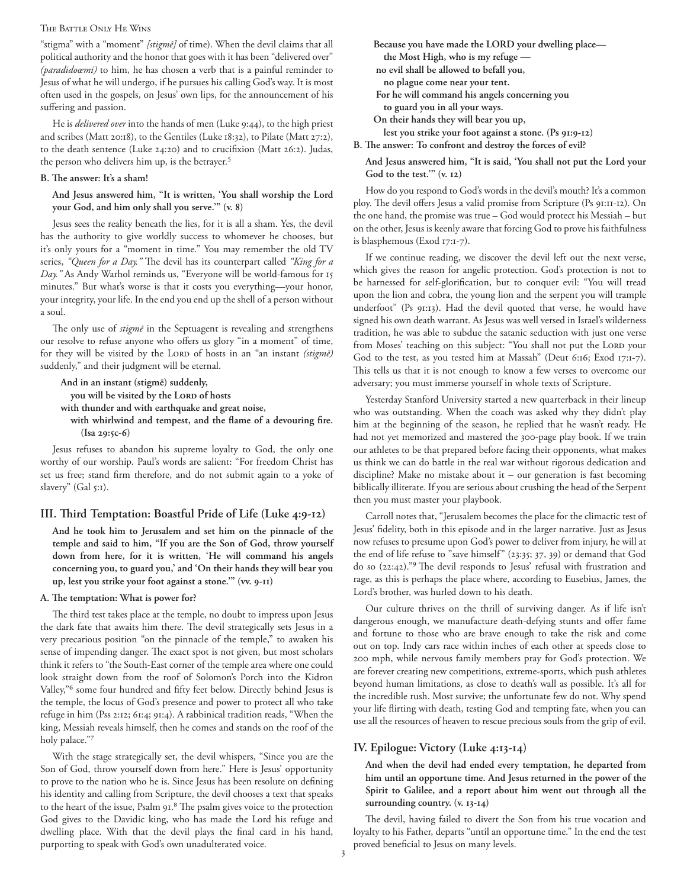#### THE BATTLE ONLY HE WINS

"stigma" with a "moment" *[stigmē]* of time). When the devil claims that all political authority and the honor that goes with it has been "delivered over" *(paradidoœmi)* to him, he has chosen a verb that is a painful reminder to Jesus of what he will undergo, if he pursues his calling God's way. It is most often used in the gospels, on Jesus' own lips, for the announcement of his suffering and passion.

He is *delivered over* into the hands of men (Luke 9:44), to the high priest and scribes (Matt 20:18), to the Gentiles (Luke 18:32), to Pilate (Matt 27:2), to the death sentence (Luke 24:20) and to crucifixion (Matt 26:2). Judas, the person who delivers him up, is the betrayer.<sup>5</sup>

#### **B. The answer: It's a sham!**

**And Jesus answered him, "It is written, 'You shall worship the Lord your God, and him only shall you serve.'" (v. 8)**

Jesus sees the reality beneath the lies, for it is all a sham. Yes, the devil has the authority to give worldly success to whomever he chooses, but it's only yours for a "moment in time." You may remember the old TV series, *"Queen for a Day."* The devil has its counterpart called *"King for a Day."* As Andy Warhol reminds us, "Everyone will be world-famous for 15 minutes." But what's worse is that it costs you everything—your honor, your integrity, your life. In the end you end up the shell of a person without a soul.

The only use of *stigmē* in the Septuagent is revealing and strengthens our resolve to refuse anyone who offers us glory "in a moment" of time, for they will be visited by the LORD of hosts in an "an instant *(stigme)* suddenly," and their judgment will be eternal.

**And in an instant (stigmē) suddenly,** you will be visited by the LORD of hosts **with thunder and with earthquake and great noise, with whirlwind and tempest, and the flame of a devouring fire. (Isa 29:5c-6)**

Jesus refuses to abandon his supreme loyalty to God, the only one worthy of our worship. Paul's words are salient: "For freedom Christ has set us free; stand firm therefore, and do not submit again to a yoke of slavery" (Gal 5:1).

#### **III. Third Temptation: Boastful Pride of Life (Luke 4:9-12)**

**And he took him to Jerusalem and set him on the pinnacle of the temple and said to him, "If you are the Son of God, throw yourself down from here, for it is written, 'He will command his angels concerning you, to guard you,' and 'On their hands they will bear you up, lest you strike your foot against a stone.'" (vv. 9-11)**

## **A. The temptation: What is power for?**

The third test takes place at the temple, no doubt to impress upon Jesus the dark fate that awaits him there. The devil strategically sets Jesus in a very precarious position "on the pinnacle of the temple," to awaken his sense of impending danger. The exact spot is not given, but most scholars think it refers to "the South-East corner of the temple area where one could look straight down from the roof of Solomon's Porch into the Kidron Valley,"6 some four hundred and fifty feet below. Directly behind Jesus is the temple, the locus of God's presence and power to protect all who take refuge in him (Pss 2:12; 61:4; 91:4). A rabbinical tradition reads, "When the king, Messiah reveals himself, then he comes and stands on the roof of the holy palace."7

With the stage strategically set, the devil whispers, "Since you are the Son of God, throw yourself down from here." Here is Jesus' opportunity to prove to the nation who he is. Since Jesus has been resolute on defining his identity and calling from Scripture, the devil chooses a text that speaks to the heart of the issue, Psalm 91.8 The psalm gives voice to the protection God gives to the Davidic king, who has made the Lord his refuge and dwelling place. With that the devil plays the final card in his hand, purporting to speak with God's own unadulterated voice.

**Because you have made the LORD your dwelling place the Most High, who is my refuge no evil shall be allowed to befall you, no plague come near your tent. For he will command his angels concerning you to guard you in all your ways. On their hands they will bear you up, lest you strike your foot against a stone. (Ps 91:9-12) B. The answer: To confront and destroy the forces of evil?**

**And Jesus answered him, "It is said, 'You shall not put the Lord your God to the test.'" (v. 12)**

How do you respond to God's words in the devil's mouth? It's a common ploy. The devil offers Jesus a valid promise from Scripture (Ps 91:11-12). On the one hand, the promise was true – God would protect his Messiah – but on the other, Jesus is keenly aware that forcing God to prove his faithfulness is blasphemous (Exod 17:1-7).

If we continue reading, we discover the devil left out the next verse, which gives the reason for angelic protection. God's protection is not to be harnessed for self-glorification, but to conquer evil: "You will tread upon the lion and cobra, the young lion and the serpent you will trample underfoot" (Ps 91:13). Had the devil quoted that verse, he would have signed his own death warrant. As Jesus was well versed in Israel's wilderness tradition, he was able to subdue the satanic seduction with just one verse from Moses' teaching on this subject: "You shall not put the LORD your God to the test, as you tested him at Massah" (Deut 6:16; Exod 17:1-7). This tells us that it is not enough to know a few verses to overcome our adversary; you must immerse yourself in whole texts of Scripture.

Yesterday Stanford University started a new quarterback in their lineup who was outstanding. When the coach was asked why they didn't play him at the beginning of the season, he replied that he wasn't ready. He had not yet memorized and mastered the 300-page play book. If we train our athletes to be that prepared before facing their opponents, what makes us think we can do battle in the real war without rigorous dedication and discipline? Make no mistake about it – our generation is fast becoming biblically illiterate. If you are serious about crushing the head of the Serpent then you must master your playbook.

Carroll notes that, "Jerusalem becomes the place for the climactic test of Jesus' fidelity, both in this episode and in the larger narrative. Just as Jesus now refuses to presume upon God's power to deliver from injury, he will at the end of life refuse to "save himself" (23:35; 37, 39) or demand that God do so (22:42)."9 The devil responds to Jesus' refusal with frustration and rage, as this is perhaps the place where, according to Eusebius, James, the Lord's brother, was hurled down to his death.

Our culture thrives on the thrill of surviving danger. As if life isn't dangerous enough, we manufacture death-defying stunts and offer fame and fortune to those who are brave enough to take the risk and come out on top. Indy cars race within inches of each other at speeds close to 200 mph, while nervous family members pray for God's protection. We are forever creating new competitions, extreme-sports, which push athletes beyond human limitations, as close to death's wall as possible. It's all for the incredible rush. Most survive; the unfortunate few do not. Why spend your life flirting with death, testing God and tempting fate, when you can use all the resources of heaven to rescue precious souls from the grip of evil.

## **IV. Epilogue: Victory (Luke 4:13-14)**

**And when the devil had ended every temptation, he departed from him until an opportune time. And Jesus returned in the power of the Spirit to Galilee, and a report about him went out through all the surrounding country. (v. 13-14)**

The devil, having failed to divert the Son from his true vocation and loyalty to his Father, departs "until an opportune time." In the end the test proved beneficial to Jesus on many levels.